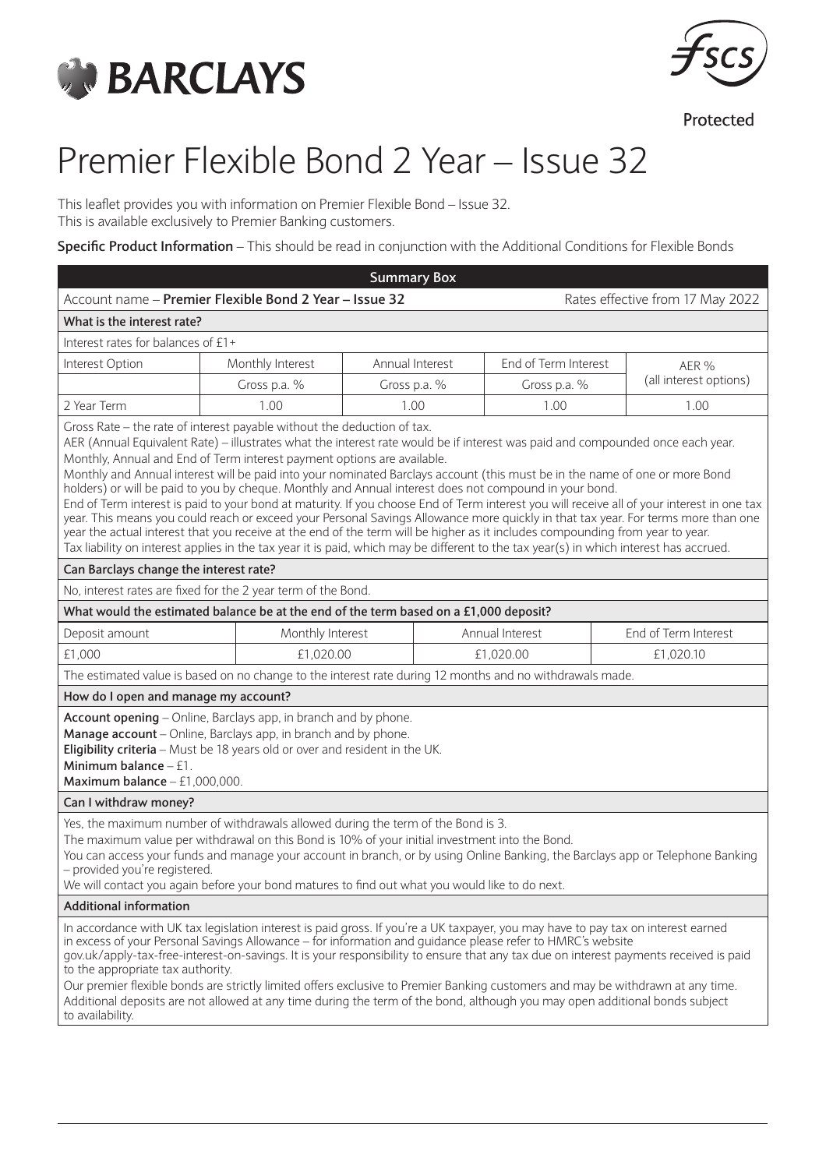



Protected

# Premier Flexible Bond 2 Year – Issue 32

This leaflet provides you with information on Premier Flexible Bond – Issue 32. This is available exclusively to Premier Banking customers.

**Specific Product Information** – This should be read in conjunction with the Additional Conditions for Flexible Bonds

|                                                                                                                                                                                                                                                                                                                                                                                                                                                                                                                                                                                                                                                                                                                                                                                                                                                                                                                                                                                                                                                                                             |                                  | <b>Summary Box</b> |                 |                      |  |                        |  |
|---------------------------------------------------------------------------------------------------------------------------------------------------------------------------------------------------------------------------------------------------------------------------------------------------------------------------------------------------------------------------------------------------------------------------------------------------------------------------------------------------------------------------------------------------------------------------------------------------------------------------------------------------------------------------------------------------------------------------------------------------------------------------------------------------------------------------------------------------------------------------------------------------------------------------------------------------------------------------------------------------------------------------------------------------------------------------------------------|----------------------------------|--------------------|-----------------|----------------------|--|------------------------|--|
| Account name - Premier Flexible Bond 2 Year - Issue 32                                                                                                                                                                                                                                                                                                                                                                                                                                                                                                                                                                                                                                                                                                                                                                                                                                                                                                                                                                                                                                      | Rates effective from 17 May 2022 |                    |                 |                      |  |                        |  |
| What is the interest rate?                                                                                                                                                                                                                                                                                                                                                                                                                                                                                                                                                                                                                                                                                                                                                                                                                                                                                                                                                                                                                                                                  |                                  |                    |                 |                      |  |                        |  |
| Interest rates for balances of £1+                                                                                                                                                                                                                                                                                                                                                                                                                                                                                                                                                                                                                                                                                                                                                                                                                                                                                                                                                                                                                                                          |                                  |                    |                 |                      |  |                        |  |
| Interest Option                                                                                                                                                                                                                                                                                                                                                                                                                                                                                                                                                                                                                                                                                                                                                                                                                                                                                                                                                                                                                                                                             | Monthly Interest                 | Annual Interest    |                 | End of Term Interest |  | AER %                  |  |
|                                                                                                                                                                                                                                                                                                                                                                                                                                                                                                                                                                                                                                                                                                                                                                                                                                                                                                                                                                                                                                                                                             | Gross p.a. %                     | Gross p.a. %       |                 | Gross p.a. %         |  | (all interest options) |  |
| 2 Year Term                                                                                                                                                                                                                                                                                                                                                                                                                                                                                                                                                                                                                                                                                                                                                                                                                                                                                                                                                                                                                                                                                 | 1.00                             | 1.00               |                 | 1.00                 |  | 1.00                   |  |
| Gross Rate - the rate of interest payable without the deduction of tax.<br>AER (Annual Equivalent Rate) - illustrates what the interest rate would be if interest was paid and compounded once each year.<br>Monthly, Annual and End of Term interest payment options are available.<br>Monthly and Annual interest will be paid into your nominated Barclays account (this must be in the name of one or more Bond<br>holders) or will be paid to you by cheque. Monthly and Annual interest does not compound in your bond.<br>End of Term interest is paid to your bond at maturity. If you choose End of Term interest you will receive all of your interest in one tax<br>year. This means you could reach or exceed your Personal Savings Allowance more quickly in that tax year. For terms more than one<br>year the actual interest that you receive at the end of the term will be higher as it includes compounding from year to year.<br>Tax liability on interest applies in the tax year it is paid, which may be different to the tax year(s) in which interest has accrued. |                                  |                    |                 |                      |  |                        |  |
| Can Barclays change the interest rate?                                                                                                                                                                                                                                                                                                                                                                                                                                                                                                                                                                                                                                                                                                                                                                                                                                                                                                                                                                                                                                                      |                                  |                    |                 |                      |  |                        |  |
| No, interest rates are fixed for the 2 year term of the Bond.                                                                                                                                                                                                                                                                                                                                                                                                                                                                                                                                                                                                                                                                                                                                                                                                                                                                                                                                                                                                                               |                                  |                    |                 |                      |  |                        |  |
| What would the estimated balance be at the end of the term based on a £1,000 deposit?                                                                                                                                                                                                                                                                                                                                                                                                                                                                                                                                                                                                                                                                                                                                                                                                                                                                                                                                                                                                       |                                  |                    |                 |                      |  |                        |  |
| Deposit amount                                                                                                                                                                                                                                                                                                                                                                                                                                                                                                                                                                                                                                                                                                                                                                                                                                                                                                                                                                                                                                                                              | Monthly Interest                 |                    | Annual Interest |                      |  | End of Term Interest   |  |
| £1,000                                                                                                                                                                                                                                                                                                                                                                                                                                                                                                                                                                                                                                                                                                                                                                                                                                                                                                                                                                                                                                                                                      |                                  | £1,020.00          |                 | £1,020.00            |  | £1,020.10              |  |
| The estimated value is based on no change to the interest rate during 12 months and no withdrawals made.                                                                                                                                                                                                                                                                                                                                                                                                                                                                                                                                                                                                                                                                                                                                                                                                                                                                                                                                                                                    |                                  |                    |                 |                      |  |                        |  |
| How do I open and manage my account?                                                                                                                                                                                                                                                                                                                                                                                                                                                                                                                                                                                                                                                                                                                                                                                                                                                                                                                                                                                                                                                        |                                  |                    |                 |                      |  |                        |  |
| Account opening - Online, Barclays app, in branch and by phone.<br>Manage account - Online, Barclays app, in branch and by phone.<br>Eligibility criteria - Must be 18 years old or over and resident in the UK.<br>Minimum balance $-51$ .<br>Maximum balance $-$ £1,000,000.                                                                                                                                                                                                                                                                                                                                                                                                                                                                                                                                                                                                                                                                                                                                                                                                              |                                  |                    |                 |                      |  |                        |  |
| Can I withdraw money?                                                                                                                                                                                                                                                                                                                                                                                                                                                                                                                                                                                                                                                                                                                                                                                                                                                                                                                                                                                                                                                                       |                                  |                    |                 |                      |  |                        |  |
| Yes, the maximum number of withdrawals allowed during the term of the Bond is 3.<br>The maximum value per withdrawal on this Bond is 10% of your initial investment into the Bond.<br>You can access your funds and manage your account in branch, or by using Online Banking, the Barclays app or Telephone Banking<br>- provided you're registered.<br>We will contact you again before your bond matures to find out what you would like to do next.                                                                                                                                                                                                                                                                                                                                                                                                                                                                                                                                                                                                                                     |                                  |                    |                 |                      |  |                        |  |
| <b>Additional information</b>                                                                                                                                                                                                                                                                                                                                                                                                                                                                                                                                                                                                                                                                                                                                                                                                                                                                                                                                                                                                                                                               |                                  |                    |                 |                      |  |                        |  |
| In accordance with UK tax legislation interest is paid gross. If you're a UK taxpayer, you may have to pay tax on interest earned<br>in excess of your Personal Savings Allowance - for information and guidance please refer to HMRC's website<br>gov.uk/apply-tax-free-interest-on-savings. It is your responsibility to ensure that any tax due on interest payments received is paid<br>to the appropriate tax authority.<br>Our premier flexible bonds are strictly limited offers exclusive to Premier Banking customers and may be withdrawn at any time.<br>Additional deposits are not allowed at any time during the term of the bond, although you may open additional bonds subject<br>to availability.                                                                                                                                                                                                                                                                                                                                                                         |                                  |                    |                 |                      |  |                        |  |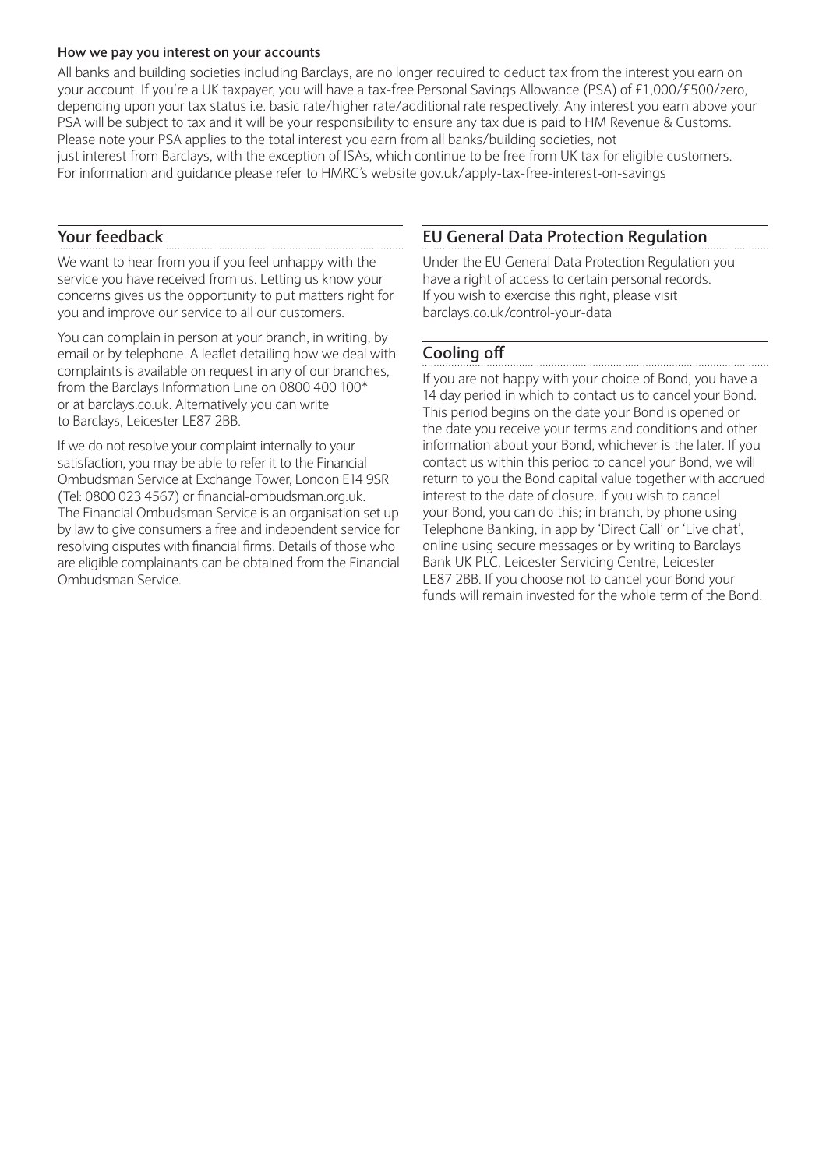#### **How we pay you interest on your accounts**

All banks and building societies including Barclays, are no longer required to deduct tax from the interest you earn on your account. If you're a UK taxpayer, you will have a tax-free Personal Savings Allowance (PSA) of £1,000/£500/zero, depending upon your tax status i.e. basic rate/higher rate/additional rate respectively. Any interest you earn above your PSA will be subject to tax and it will be your responsibility to ensure any tax due is paid to HM Revenue & Customs. Please note your PSA applies to the total interest you earn from all banks/building societies, not just interest from Barclays, with the exception of ISAs, which continue to be free from UK tax for eligible customers. For information and guidance please refer to HMRC's website gov.uk/apply-tax-free-interest-on-savings

### **Your feedback**

We want to hear from you if you feel unhappy with the service you have received from us. Letting us know your concerns gives us the opportunity to put matters right for you and improve our service to all our customers.

You can complain in person at your branch, in writing, by email or by telephone. A leaflet detailing how we deal with complaints is available on request in any of our branches, from the Barclays Information Line on 0800 400 100\* or at barclays.co.uk. Alternatively you can write to Barclays, Leicester LE87 2BB.

If we do not resolve your complaint internally to your satisfaction, you may be able to refer it to the Financial Ombudsman Service at Exchange Tower, London E14 9SR (Tel: 0800 023 4567) or financial-ombudsman.org.uk. The Financial Ombudsman Service is an organisation set up by law to give consumers a free and independent service for resolving disputes with financial firms. Details of those who are eligible complainants can be obtained from the Financial Ombudsman Service.

### **EU General Data Protection Regulation**

Under the EU General Data Protection Regulation you have a right of access to certain personal records. If you wish to exercise this right, please visit barclays.co.uk/control-your-data

# **Cooling off**

If you are not happy with your choice of Bond, you have a 14 day period in which to contact us to cancel your Bond. This period begins on the date your Bond is opened or the date you receive your terms and conditions and other information about your Bond, whichever is the later. If you contact us within this period to cancel your Bond, we will return to you the Bond capital value together with accrued interest to the date of closure. If you wish to cancel your Bond, you can do this; in branch, by phone using Telephone Banking, in app by 'Direct Call' or 'Live chat', online using secure messages or by writing to Barclays Bank UK PLC, Leicester Servicing Centre, Leicester LE87 2BB. If you choose not to cancel your Bond your funds will remain invested for the whole term of the Bond.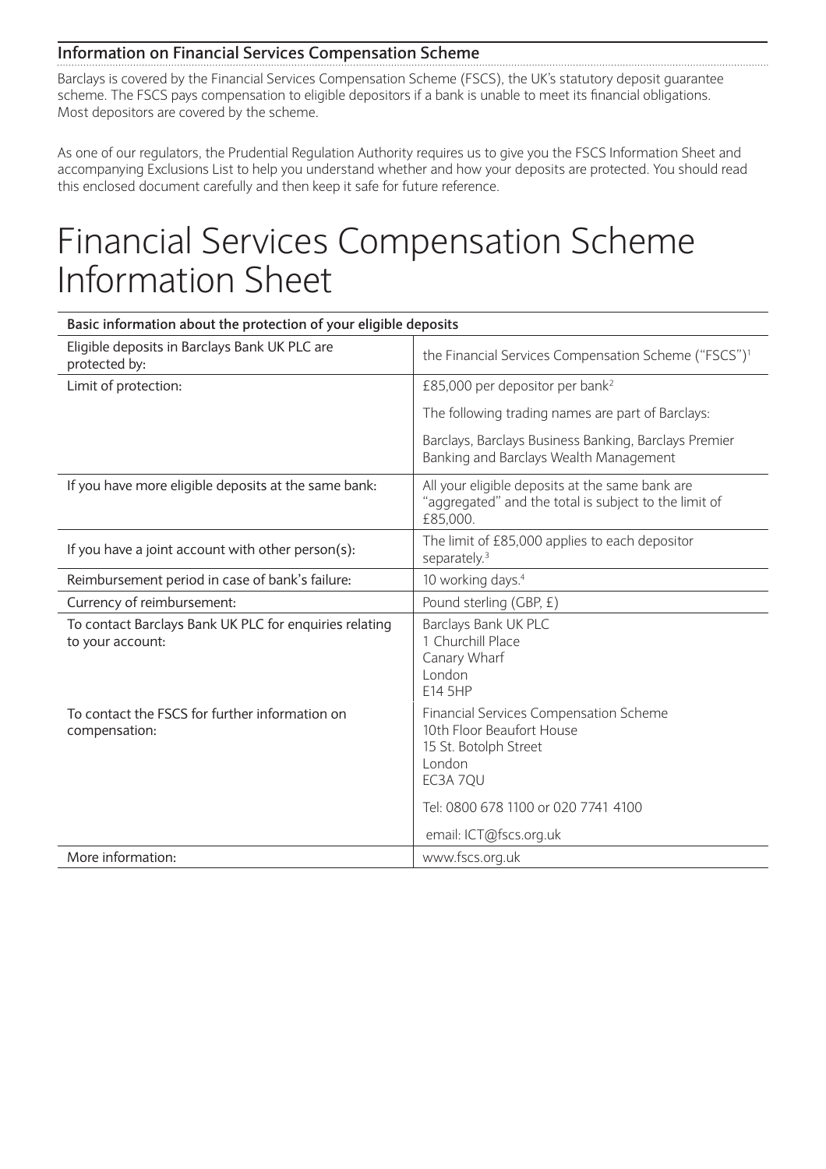### **Information on Financial Services Compensation Scheme**

Barclays is covered by the Financial Services Compensation Scheme (FSCS), the UK's statutory deposit guarantee scheme. The FSCS pays compensation to eligible depositors if a bank is unable to meet its financial obligations. Most depositors are covered by the scheme.

As one of our regulators, the Prudential Regulation Authority requires us to give you the FSCS Information Sheet and accompanying Exclusions List to help you understand whether and how your deposits are protected. You should read this enclosed document carefully and then keep it safe for future reference.

# Financial Services Compensation Scheme Information Sheet

| Basic information about the protection of your eligible deposits           |                                                                                                                           |  |  |  |
|----------------------------------------------------------------------------|---------------------------------------------------------------------------------------------------------------------------|--|--|--|
| Eligible deposits in Barclays Bank UK PLC are<br>protected by:             | the Financial Services Compensation Scheme ("FSCS") <sup>1</sup>                                                          |  |  |  |
| Limit of protection:                                                       | £85,000 per depositor per bank <sup>2</sup>                                                                               |  |  |  |
|                                                                            | The following trading names are part of Barclays:                                                                         |  |  |  |
|                                                                            | Barclays, Barclays Business Banking, Barclays Premier<br>Banking and Barclays Wealth Management                           |  |  |  |
| If you have more eligible deposits at the same bank:                       | All your eligible deposits at the same bank are<br>"aggregated" and the total is subject to the limit of<br>£85,000.      |  |  |  |
| If you have a joint account with other person(s):                          | The limit of £85,000 applies to each depositor<br>separately. <sup>3</sup>                                                |  |  |  |
| Reimbursement period in case of bank's failure:                            | 10 working days. <sup>4</sup>                                                                                             |  |  |  |
| Currency of reimbursement:                                                 | Pound sterling (GBP, £)                                                                                                   |  |  |  |
| To contact Barclays Bank UK PLC for enquiries relating<br>to your account: | Barclays Bank UK PLC<br>1 Churchill Place<br>Canary Wharf<br>London<br>E14 5HP                                            |  |  |  |
| To contact the FSCS for further information on<br>compensation:            | <b>Financial Services Compensation Scheme</b><br>10th Floor Beaufort House<br>15 St. Botolph Street<br>London<br>EC3A 7QU |  |  |  |
|                                                                            | Tel: 0800 678 1100 or 020 7741 4100                                                                                       |  |  |  |
|                                                                            | email: ICT@fscs.org.uk                                                                                                    |  |  |  |
| More information:                                                          | www.fscs.org.uk                                                                                                           |  |  |  |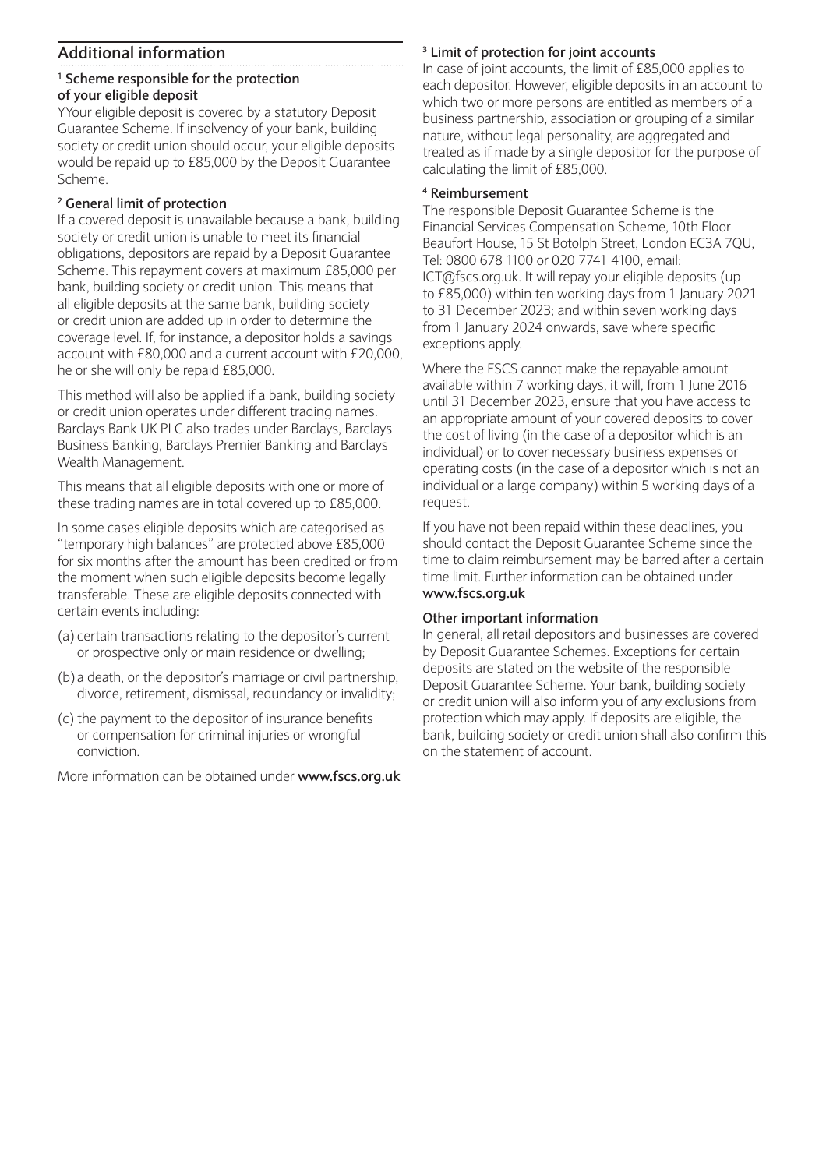## **Additional information**

#### **1 Scheme responsible for the protection of your eligible deposit**

YYour eligible deposit is covered by a statutory Deposit Guarantee Scheme. If insolvency of your bank, building society or credit union should occur, your eligible deposits would be repaid up to £85,000 by the Deposit Guarantee Scheme.

#### **2 General limit of protection**

If a covered deposit is unavailable because a bank, building society or credit union is unable to meet its financial obligations, depositors are repaid by a Deposit Guarantee Scheme. This repayment covers at maximum £85,000 per bank, building society or credit union. This means that all eligible deposits at the same bank, building society or credit union are added up in order to determine the coverage level. If, for instance, a depositor holds a savings account with £80,000 and a current account with £20,000, he or she will only be repaid £85,000.

This method will also be applied if a bank, building society or credit union operates under different trading names. Barclays Bank UK PLC also trades under Barclays, Barclays Business Banking, Barclays Premier Banking and Barclays Wealth Management.

This means that all eligible deposits with one or more of these trading names are in total covered up to £85,000.

In some cases eligible deposits which are categorised as "temporary high balances" are protected above £85,000 for six months after the amount has been credited or from the moment when such eligible deposits become legally transferable. These are eligible deposits connected with certain events including:

- (a) certain transactions relating to the depositor's current or prospective only or main residence or dwelling;
- (b) a death, or the depositor's marriage or civil partnership, divorce, retirement, dismissal, redundancy or invalidity;
- (c) the payment to the depositor of insurance benefits or compensation for criminal injuries or wrongful conviction.

More information can be obtained under **www.fscs.org.uk**

#### **3 Limit of protection for joint accounts**

In case of joint accounts, the limit of £85,000 applies to each depositor. However, eligible deposits in an account to which two or more persons are entitled as members of a business partnership, association or grouping of a similar nature, without legal personality, are aggregated and treated as if made by a single depositor for the purpose of calculating the limit of £85,000.

#### **4 Reimbursement**

The responsible Deposit Guarantee Scheme is the Financial Services Compensation Scheme, 10th Floor Beaufort House, 15 St Botolph Street, London EC3A 7QU, Tel: 0800 678 1100 or 020 7741 4100, email: ICT@fscs.org.uk. It will repay your eligible deposits (up to £85,000) within ten working days from 1 January 2021 to 31 December 2023; and within seven working days from 1 January 2024 onwards, save where specific exceptions apply.

Where the FSCS cannot make the repayable amount available within 7 working days, it will, from 1 June 2016 until 31 December 2023, ensure that you have access to an appropriate amount of your covered deposits to cover the cost of living (in the case of a depositor which is an individual) or to cover necessary business expenses or operating costs (in the case of a depositor which is not an individual or a large company) within 5 working days of a request.

If you have not been repaid within these deadlines, you should contact the Deposit Guarantee Scheme since the time to claim reimbursement may be barred after a certain time limit. Further information can be obtained under **www.fscs.org.uk**

#### **Other important information**

In general, all retail depositors and businesses are covered by Deposit Guarantee Schemes. Exceptions for certain deposits are stated on the website of the responsible Deposit Guarantee Scheme. Your bank, building society or credit union will also inform you of any exclusions from protection which may apply. If deposits are eligible, the bank, building society or credit union shall also confirm this on the statement of account.